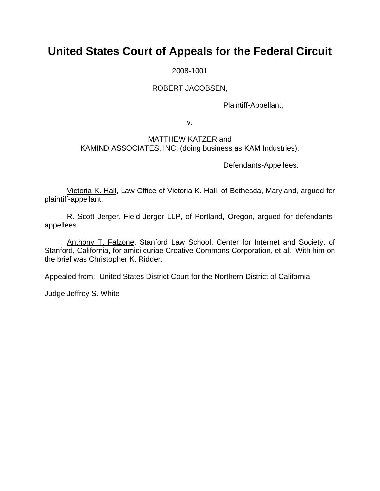# **United States Court of Appeals for the Federal Circuit**

2008-1001

## ROBERT JACOBSEN,

Plaintiff-Appellant,

v.

## MATTHEW KATZER and KAMIND ASSOCIATES, INC. (doing business as KAM Industries),

Defendants-Appellees.

Victoria K. Hall, Law Office of Victoria K. Hall, of Bethesda, Maryland, argued for plaintiff-appellant.

R. Scott Jerger, Field Jerger LLP, of Portland, Oregon, argued for defendantsappellees.

Anthony T. Falzone, Stanford Law School, Center for Internet and Society, of Stanford, California, for amici curiae Creative Commons Corporation, et al. With him on the brief was Christopher K. Ridder.

Appealed from: United States District Court for the Northern District of California

Judge Jeffrey S. White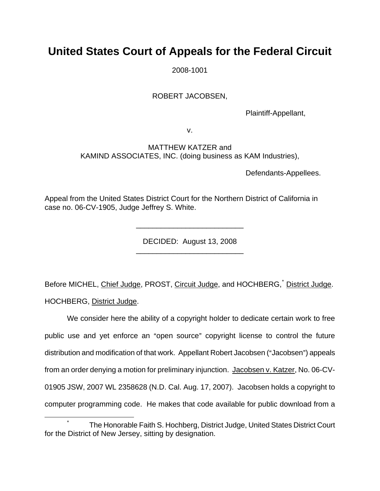# **United States Court of Appeals for the Federal Circuit**

2008-1001

## ROBERT JACOBSEN,

Plaintiff-Appellant,

v.

MATTHEW KATZER and KAMIND ASSOCIATES, INC. (doing business as KAM Industries),

Defendants-Appellees.

Appeal from the United States District Court for the Northern District of California in case no. 06-CV-1905, Judge Jeffrey S. White.

> DECIDED: August 13, 2008 \_\_\_\_\_\_\_\_\_\_\_\_\_\_\_\_\_\_\_\_\_\_\_\_\_\_

> \_\_\_\_\_\_\_\_\_\_\_\_\_\_\_\_\_\_\_\_\_\_\_\_\_\_

Before MICHEL, Chief Judge, PROST, Circuit Judge, and HOCHBERG,<sup>[\\*](#page-1-0)</sup> District Judge. HOCHBERG, District Judge.

We consider here the ability of a copyright holder to dedicate certain work to free public use and yet enforce an "open source" copyright license to control the future distribution and modification of that work. Appellant Robert Jacobsen ("Jacobsen") appeals from an order denying a motion for preliminary injunction. Jacobsen v. Katzer, No. 06-CV-01905 JSW, 2007 WL 2358628 (N.D. Cal. Aug. 17, 2007). Jacobsen holds a copyright to computer programming code. He makes that code available for public download from a

<span id="page-1-0"></span>The Honorable Faith S. Hochberg, District Judge, United States District Court for the District of New Jersey, sitting by designation.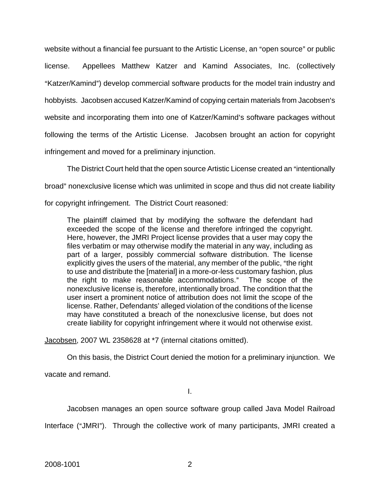website without a financial fee pursuant to the Artistic License, an "open source" or public license. Appellees Matthew Katzer and Kamind Associates, Inc. (collectively "Katzer/Kamind") develop commercial software products for the model train industry and hobbyists. Jacobsen accused Katzer/Kamind of copying certain materials from Jacobsen's website and incorporating them into one of Katzer/Kamind's software packages without following the terms of the Artistic License. Jacobsen brought an action for copyright infringement and moved for a preliminary injunction.

The District Court held that the open source Artistic License created an "intentionally broad" nonexclusive license which was unlimited in scope and thus did not create liability

for copyright infringement. The District Court reasoned:

The plaintiff claimed that by modifying the software the defendant had exceeded the scope of the license and therefore infringed the copyright. Here, however, the JMRI Project license provides that a user may copy the files verbatim or may otherwise modify the material in any way, including as part of a larger, possibly commercial software distribution. The license explicitly gives the users of the material, any member of the public, "the right to use and distribute the [material] in a more-or-less customary fashion, plus the right to make reasonable accommodations." The scope of the nonexclusive license is, therefore, intentionally broad. The condition that the user insert a prominent notice of attribution does not limit the scope of the license. Rather, Defendants' alleged violation of the conditions of the license may have constituted a breach of the nonexclusive license, but does not create liability for copyright infringement where it would not otherwise exist.

Jacobsen, 2007 WL 2358628 at \*7 (internal citations omitted).

On this basis, the District Court denied the motion for a preliminary injunction. We

vacate and remand.

I.

Jacobsen manages an open source software group called Java Model Railroad

Interface ("JMRI"). Through the collective work of many participants, JMRI created a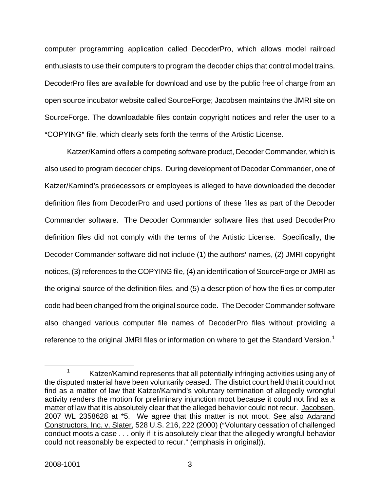computer programming application called DecoderPro, which allows model railroad enthusiasts to use their computers to program the decoder chips that control model trains. DecoderPro files are available for download and use by the public free of charge from an open source incubator website called SourceForge; Jacobsen maintains the JMRI site on SourceForge. The downloadable files contain copyright notices and refer the user to a "COPYING" file, which clearly sets forth the terms of the Artistic License.

Katzer/Kamind offers a competing software product, Decoder Commander, which is also used to program decoder chips. During development of Decoder Commander, one of Katzer/Kamind's predecessors or employees is alleged to have downloaded the decoder definition files from DecoderPro and used portions of these files as part of the Decoder Commander software. The Decoder Commander software files that used DecoderPro definition files did not comply with the terms of the Artistic License. Specifically, the Decoder Commander software did not include (1) the authors' names, (2) JMRI copyright notices, (3) references to the COPYING file, (4) an identification of SourceForge or JMRI as the original source of the definition files, and (5) a description of how the files or computer code had been changed from the original source code. The Decoder Commander software also changed various computer file names of DecoderPro files without providing a reference to the original JMRI files or information on where to get the Standard Version.<sup>[1](#page-3-0)</sup>

<span id="page-3-0"></span><sup>&</sup>lt;sup>1</sup> Katzer/Kamind represents that all potentially infringing activities using any of the disputed material have been voluntarily ceased. The district court held that it could not find as a matter of law that Katzer/Kamind's voluntary termination of allegedly wrongful activity renders the motion for preliminary injunction moot because it could not find as a matter of law that it is absolutely clear that the alleged behavior could not recur. Jacobsen, 2007 WL 2358628 at \*5.We agree that this matter is not moot. See also Adarand Constructors, Inc. v. Slater, 528 U.S. 216, 222 (2000) ("Voluntary cessation of challenged conduct moots a case . . . only if it is absolutely clear that the allegedly wrongful behavior could not reasonably be expected to recur." (emphasis in original)).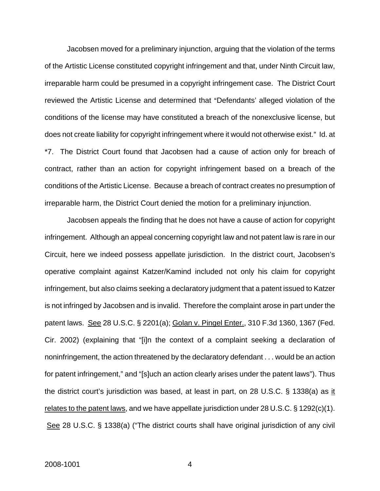Jacobsen moved for a preliminary injunction, arguing that the violation of the terms of the Artistic License constituted copyright infringement and that, under Ninth Circuit law, irreparable harm could be presumed in a copyright infringement case. The District Court reviewed the Artistic License and determined that "Defendants' alleged violation of the conditions of the license may have constituted a breach of the nonexclusive license, but does not create liability for copyright infringement where it would not otherwise exist." Id. at \*7. The District Court found that Jacobsen had a cause of action only for breach of contract, rather than an action for copyright infringement based on a breach of the conditions of the Artistic License. Because a breach of contract creates no presumption of irreparable harm, the District Court denied the motion for a preliminary injunction.

Jacobsen appeals the finding that he does not have a cause of action for copyright infringement. Although an appeal concerning copyright law and not patent law is rare in our Circuit, here we indeed possess appellate jurisdiction. In the district court, Jacobsen's operative complaint against Katzer/Kamind included not only his claim for copyright infringement, but also claims seeking a declaratory judgment that a patent issued to Katzer is not infringed by Jacobsen and is invalid. Therefore the complaint arose in part under the patent laws. See 28 U.S.C. § 2201(a); Golan v. Pingel Enter., 310 F.3d 1360, 1367 (Fed. Cir. 2002) (explaining that "[i]n the context of a complaint seeking a declaration of noninfringement, the action threatened by the declaratory defendant . . . would be an action for patent infringement," and "[s]uch an action clearly arises under the patent laws"). Thus the district court's jurisdiction was based, at least in part, on 28 U.S.C. § 1338(a) as it relates to the patent laws, and we have appellate jurisdiction under 28 U.S.C. § 1292(c)(1). See 28 U.S.C. § 1338(a) ("The district courts shall have original jurisdiction of any civil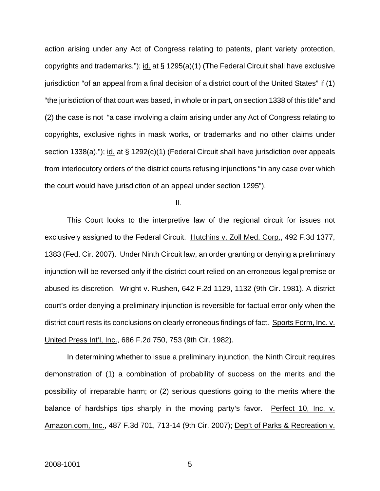action arising under any Act of Congress relating to patents, plant variety protection, copyrights and trademarks."); id. at § 1295(a)(1) (The Federal Circuit shall have exclusive jurisdiction "of an appeal from a final decision of a district court of the United States" if (1) "the jurisdiction of that court was based, in whole or in part, on section 1338 of this title" and (2) the case is not "a case involving a claim arising under any Act of Congress relating to copyrights, exclusive rights in mask works, or trademarks and no other claims under section 1338(a)."); id. at § 1292(c)(1) (Federal Circuit shall have jurisdiction over appeals from interlocutory orders of the district courts refusing injunctions "in any case over which the court would have jurisdiction of an appeal under section 1295").

II.

This Court looks to the interpretive law of the regional circuit for issues not exclusively assigned to the Federal Circuit. Hutchins v. Zoll Med. Corp., 492 F.3d 1377, 1383 (Fed. Cir. 2007). Under Ninth Circuit law, an order granting or denying a preliminary injunction will be reversed only if the district court relied on an erroneous legal premise or abused its discretion. Wright v. Rushen, 642 F.2d 1129, 1132 (9th Cir. 1981). A district court's order denying a preliminary injunction is reversible for factual error only when the district court rests its conclusions on clearly erroneous findings of fact. Sports Form, Inc. v. United Press Int'l, Inc., 686 F.2d 750, 753 (9th Cir. 1982).

In determining whether to issue a preliminary injunction, the Ninth Circuit requires demonstration of (1) a combination of probability of success on the merits and the possibility of irreparable harm; or (2) serious questions going to the merits where the balance of hardships tips sharply in the moving party's favor. Perfect 10, Inc. v. Amazon.com, Inc., 487 F.3d 701, 713-14 (9th Cir. 2007); Dep't of Parks & Recreation v.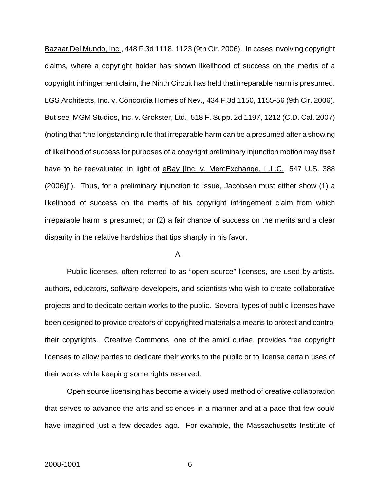Bazaar Del Mundo, Inc., 448 F.3d 1118, 1123 (9th Cir. 2006). In cases involving copyright claims, where a copyright holder has shown likelihood of success on the merits of a copyright infringement claim, the Ninth Circuit has held that irreparable harm is presumed. LGS Architects, Inc. v. Concordia Homes of Nev., 434 F.3d 1150, 1155-56 (9th Cir. 2006). But see MGM Studios, Inc. v. Grokster, Ltd., 518 F. Supp. 2d 1197, 1212 (C.D. Cal. 2007) (noting that "the longstanding rule that irreparable harm can be a presumed after a showing of likelihood of success for purposes of a copyright preliminary injunction motion may itself have to be reevaluated in light of eBay [Inc. v. MercExchange, L.L.C., 547 U.S. 388 (2006)]"). Thus, for a preliminary injunction to issue, Jacobsen must either show (1) a likelihood of success on the merits of his copyright infringement claim from which irreparable harm is presumed; or (2) a fair chance of success on the merits and a clear disparity in the relative hardships that tips sharply in his favor.

#### A.

Public licenses, often referred to as "open source" licenses, are used by artists, authors, educators, software developers, and scientists who wish to create collaborative projects and to dedicate certain works to the public. Several types of public licenses have been designed to provide creators of copyrighted materials a means to protect and control their copyrights. Creative Commons, one of the amici curiae, provides free copyright licenses to allow parties to dedicate their works to the public or to license certain uses of their works while keeping some rights reserved.

Open source licensing has become a widely used method of creative collaboration that serves to advance the arts and sciences in a manner and at a pace that few could have imagined just a few decades ago. For example, the Massachusetts Institute of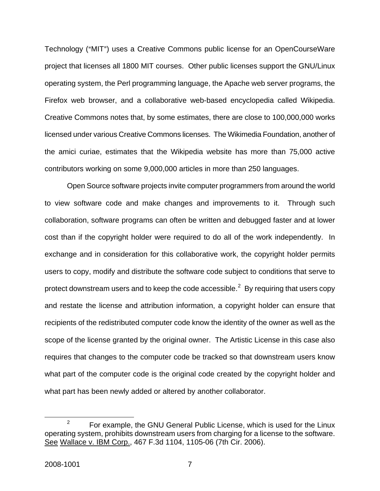Technology ("MIT") uses a Creative Commons public license for an OpenCourseWare project that licenses all 1800 MIT courses. Other public licenses support the GNU/Linux operating system, the Perl programming language, the Apache web server programs, the Firefox web browser, and a collaborative web-based encyclopedia called Wikipedia. Creative Commons notes that, by some estimates, there are close to 100,000,000 works licensed under various Creative Commons licenses. The Wikimedia Foundation, another of the amici curiae, estimates that the Wikipedia website has more than 75,000 active contributors working on some 9,000,000 articles in more than 250 languages.

Open Source software projects invite computer programmers from around the world to view software code and make changes and improvements to it. Through such collaboration, software programs can often be written and debugged faster and at lower cost than if the copyright holder were required to do all of the work independently. In exchange and in consideration for this collaborative work, the copyright holder permits users to copy, modify and distribute the software code subject to conditions that serve to protect downstream users and to keep the code accessible. $^2$  $^2$  By requiring that users copy and restate the license and attribution information, a copyright holder can ensure that recipients of the redistributed computer code know the identity of the owner as well as the scope of the license granted by the original owner. The Artistic License in this case also requires that changes to the computer code be tracked so that downstream users know what part of the computer code is the original code created by the copyright holder and what part has been newly added or altered by another collaborator.

<span id="page-7-0"></span><sup>&</sup>lt;sup>2</sup> For example, the GNU General Public License, which is used for the Linux operating system, prohibits downstream users from charging for a license to the software. See Wallace v. IBM Corp., 467 F.3d 1104, 1105-06 (7th Cir. 2006).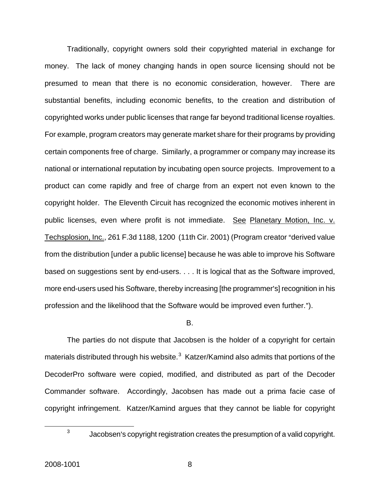Traditionally, copyright owners sold their copyrighted material in exchange for money. The lack of money changing hands in open source licensing should not be presumed to mean that there is no economic consideration, however. There are substantial benefits, including economic benefits, to the creation and distribution of copyrighted works under public licenses that range far beyond traditional license royalties. For example, program creators may generate market share for their programs by providing certain components free of charge. Similarly, a programmer or company may increase its national or international reputation by incubating open source projects. Improvement to a product can come rapidly and free of charge from an expert not even known to the copyright holder. The Eleventh Circuit has recognized the economic motives inherent in public licenses, even where profit is not immediate. See Planetary Motion, Inc. v. Techsplosion, Inc., 261 F.3d 1188, 1200 (11th Cir. 2001) (Program creator "derived value from the distribution [under a public license] because he was able to improve his Software based on suggestions sent by end-users. . . . It is logical that as the Software improved, more end-users used his Software, thereby increasing [the programmer's] recognition in his profession and the likelihood that the Software would be improved even further.").

#### B.

The parties do not dispute that Jacobsen is the holder of a copyright for certain materials distributed through his website. $^3\,$  $^3\,$  $^3\,$  Katzer/Kamind also admits that portions of the DecoderPro software were copied, modified, and distributed as part of the Decoder Commander software. Accordingly, Jacobsen has made out a prima facie case of copyright infringement. Katzer/Kamind argues that they cannot be liable for copyright

<span id="page-8-0"></span> $\frac{1}{3}$ 

 $3$  Jacobsen's copyright registration creates the presumption of a valid copyright.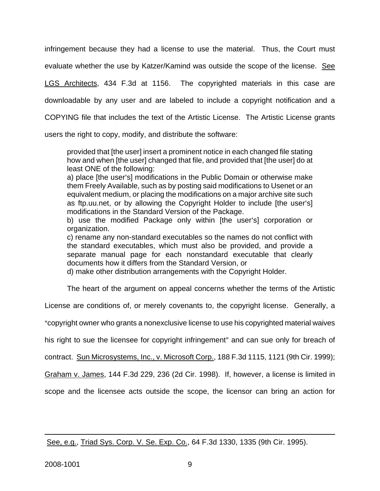infringement because they had a license to use the material. Thus, the Court must evaluate whether the use by Katzer/Kamind was outside the scope of the license. See

LGS Architects, 434 F.3d at 1156. The copyrighted materials in this case are

downloadable by any user and are labeled to include a copyright notification and a

COPYING file that includes the text of the Artistic License. The Artistic License grants

users the right to copy, modify, and distribute the software:

provided that [the user] insert a prominent notice in each changed file stating how and when [the user] changed that file, and provided that [the user] do at least ONE of the following:

a) place [the user's] modifications in the Public Domain or otherwise make them Freely Available, such as by posting said modifications to Usenet or an equivalent medium, or placing the modifications on a major archive site such as ftp.uu.net, or by allowing the Copyright Holder to include [the user's] modifications in the Standard Version of the Package.

b) use the modified Package only within [the user's] corporation or organization.

c) rename any non-standard executables so the names do not conflict with the standard executables, which must also be provided, and provide a separate manual page for each nonstandard executable that clearly documents how it differs from the Standard Version, or

d) make other distribution arrangements with the Copyright Holder.

The heart of the argument on appeal concerns whether the terms of the Artistic

License are conditions of, or merely covenants to, the copyright license. Generally, a

"copyright owner who grants a nonexclusive license to use his copyrighted material waives

his right to sue the licensee for copyright infringement" and can sue only for breach of

contract. Sun Microsystems, Inc., v. Microsoft Corp., 188 F.3d 1115, 1121 (9th Cir. 1999);

Graham v. James, 144 F.3d 229, 236 (2d Cir. 1998). If, however, a license is limited in

scope and the licensee acts outside the scope, the licensor can bring an action for

### See, e.g., Triad Sys. Corp. V. Se. Exp. Co., 64 F.3d 1330, 1335 (9th Cir. 1995).

<u>.</u>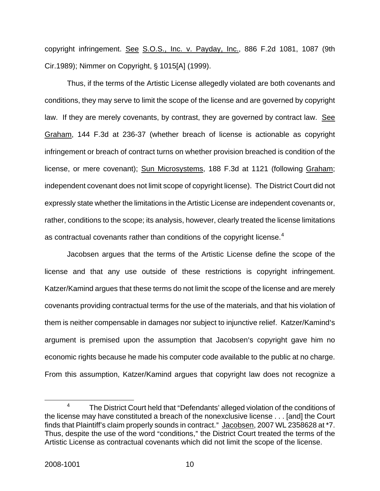copyright infringement. See S.O.S., Inc. v. Payday, Inc., 886 F.2d 1081, 1087 (9th Cir. 1989); Nimmer on Copyright, § 1015[A] (1999).

Thus, if the terms of the Artistic License allegedly violated are both covenants and conditions, they may serve to limit the scope of the license and are governed by copyright law. If they are merely covenants, by contrast, they are governed by contract law. See Graham, 144 F.3d at 236-37 (whether breach of license is actionable as copyright infringement or breach of contract turns on whether provision breached is condition of the license, or mere covenant); Sun Microsystems, 188 F.3d at 1121 (following Graham; independent covenant does not limit scope of copyright license). The District Court did not expressly state whether the limitations in the Artistic License are independent covenants or, rather, conditions to the scope; its analysis, however, clearly treated the license limitations as contractual covenants rather than conditions of the copyright license.<sup>[4](#page-10-0)</sup>

Jacobsen argues that the terms of the Artistic License define the scope of the license and that any use outside of these restrictions is copyright infringement. Katzer/Kamind argues that these terms do not limit the scope of the license and are merely covenants providing contractual terms for the use of the materials, and that his violation of them is neither compensable in damages nor subject to injunctive relief. Katzer/Kamind's argument is premised upon the assumption that Jacobsen's copyright gave him no economic rights because he made his computer code available to the public at no charge. From this assumption, Katzer/Kamind argues that copyright law does not recognize a

<span id="page-10-0"></span> $\frac{1}{4}$ The District Court held that "Defendants' alleged violation of the conditions of the license may have constituted a breach of the nonexclusive license . . . [and] the Court finds that Plaintiff's claim properly sounds in contract." Jacobsen, 2007 WL 2358628 at \*7. Thus, despite the use of the word "conditions," the District Court treated the terms of the Artistic License as contractual covenants which did not limit the scope of the license.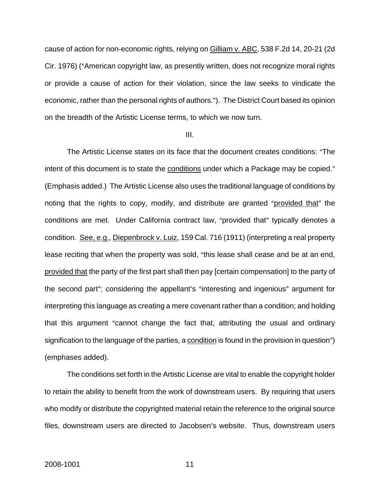cause of action for non-economic rights, relying on Gilliam v. ABC, 538 F.2d 14, 20-21 (2d Cir. 1976) ("American copyright law, as presently written, does not recognize moral rights or provide a cause of action for their violation, since the law seeks to vindicate the economic, rather than the personal rights of authors."). The District Court based its opinion on the breadth of the Artistic License terms, to which we now turn.

#### III.

The Artistic License states on its face that the document creates conditions: "The intent of this document is to state the conditions under which a Package may be copied." (Emphasis added.) The Artistic License also uses the traditional language of conditions by noting that the rights to copy, modify, and distribute are granted "provided that" the conditions are met. Under California contract law, "provided that" typically denotes a condition. See, e.g., Diepenbrock v. Luiz, 159 Cal. 716 (1911) (interpreting a real property lease reciting that when the property was sold, "this lease shall cease and be at an end, provided that the party of the first part shall then pay [certain compensation] to the party of the second part"; considering the appellant's "interesting and ingenious" argument for interpreting this language as creating a mere covenant rather than a condition; and holding that this argument "cannot change the fact that, attributing the usual and ordinary signification to the language of the parties, a condition is found in the provision in question") (emphases added).

The conditions set forth in the Artistic License are vital to enable the copyright holder to retain the ability to benefit from the work of downstream users. By requiring that users who modify or distribute the copyrighted material retain the reference to the original source files, downstream users are directed to Jacobsen's website. Thus, downstream users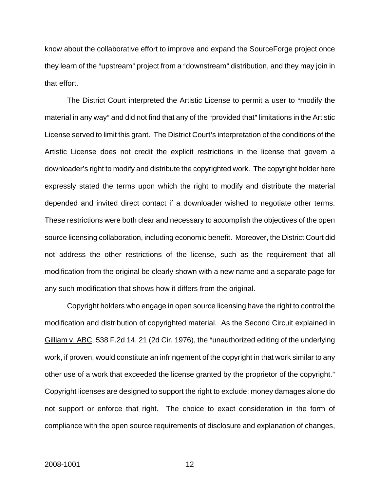know about the collaborative effort to improve and expand the SourceForge project once they learn of the "upstream" project from a "downstream" distribution, and they may join in that effort.

The District Court interpreted the Artistic License to permit a user to "modify the material in any way" and did not find that any of the "provided that" limitations in the Artistic License served to limit this grant. The District Court's interpretation of the conditions of the Artistic License does not credit the explicit restrictions in the license that govern a downloader's right to modify and distribute the copyrighted work. The copyright holder here expressly stated the terms upon which the right to modify and distribute the material depended and invited direct contact if a downloader wished to negotiate other terms. These restrictions were both clear and necessary to accomplish the objectives of the open source licensing collaboration, including economic benefit. Moreover, the District Court did not address the other restrictions of the license, such as the requirement that all modification from the original be clearly shown with a new name and a separate page for any such modification that shows how it differs from the original.

Copyright holders who engage in open source licensing have the right to control the modification and distribution of copyrighted material. As the Second Circuit explained in Gilliam v. ABC, 538 F.2d 14, 21 (2d Cir. 1976), the "unauthorized editing of the underlying work, if proven, would constitute an infringement of the copyright in that work similar to any other use of a work that exceeded the license granted by the proprietor of the copyright." Copyright licenses are designed to support the right to exclude; money damages alone do not support or enforce that right. The choice to exact consideration in the form of compliance with the open source requirements of disclosure and explanation of changes,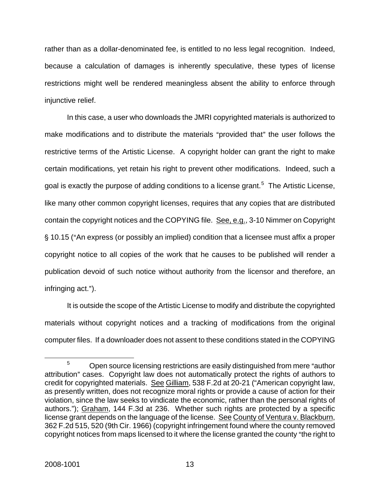rather than as a dollar-denominated fee, is entitled to no less legal recognition. Indeed, because a calculation of damages is inherently speculative, these types of license restrictions might well be rendered meaningless absent the ability to enforce through injunctive relief.

In this case, a user who downloads the JMRI copyrighted materials is authorized to make modifications and to distribute the materials "provided that" the user follows the restrictive terms of the Artistic License. A copyright holder can grant the right to make certain modifications, yet retain his right to prevent other modifications. Indeed, such a goal is exactly the purpose of adding conditions to a license grant.<sup>[5](#page-13-0)</sup> The Artistic License, like many other common copyright licenses, requires that any copies that are distributed contain the copyright notices and the COPYING file. See, e.g., 3-10 Nimmer on Copyright  $\S$  10.15 ("An express (or possibly an implied) condition that a licensee must affix a proper copyright notice to all copies of the work that he causes to be published will render a publication devoid of such notice without authority from the licensor and therefore, an infringing act.").

It is outside the scope of the Artistic License to modify and distribute the copyrighted materials without copyright notices and a tracking of modifications from the original computer files. If a downloader does not assent to these conditions stated in the COPYING

<span id="page-13-0"></span> $\frac{1}{5}$  $5$  Open source licensing restrictions are easily distinguished from mere "author attribution" cases. Copyright law does not automatically protect the rights of authors to credit for copyrighted materials. See Gilliam, 538 F.2d at 20-21 ("American copyright law, as presently written, does not recognize moral rights or provide a cause of action for their violation, since the law seeks to vindicate the economic, rather than the personal rights of authors."); Graham, 144 F.3d at 236. Whether such rights are protected by a specific license grant depends on the language of the license. See County of Ventura v. Blackburn, 362 F.2d 515, 520 (9th Cir. 1966) (copyright infringement found where the county removed copyright notices from maps licensed to it where the license granted the county "the right to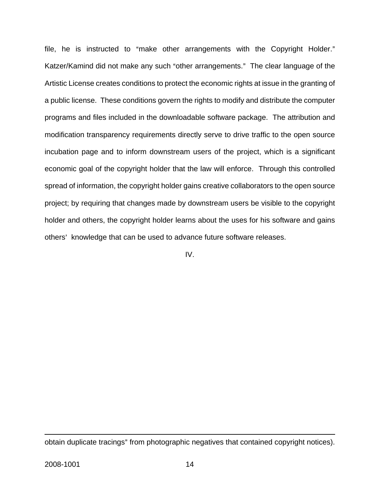file, he is instructed to "make other arrangements with the Copyright Holder." Katzer/Kamind did not make any such "other arrangements." The clear language of the Artistic License creates conditions to protect the economic rights at issue in the granting of a public license. These conditions govern the rights to modify and distribute the computer programs and files included in the downloadable software package. The attribution and modification transparency requirements directly serve to drive traffic to the open source incubation page and to inform downstream users of the project, which is a significant economic goal of the copyright holder that the law will enforce. Through this controlled spread of information, the copyright holder gains creative collaborators to the open source project; by requiring that changes made by downstream users be visible to the copyright holder and others, the copyright holder learns about the uses for his software and gains others' knowledge that can be used to advance future software releases.

IV.

obtain duplicate tracings" from photographic negatives that contained copyright notices).

 $\overline{a}$